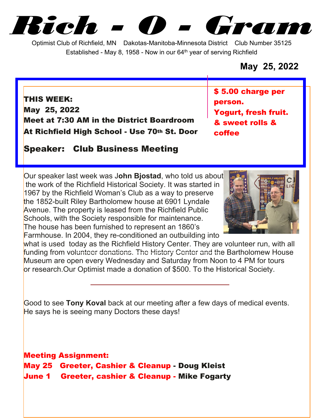*Rich - O - Gram*

Optimist Club of Richfield, MN Dakotas-Manitoba-Minnesota District Club Number 35125 Established - May 8, 1958 - Now in our  $64<sup>th</sup>$  year of serving Richfield

## **May 25, 2022**

**THIS WEEK: May 25, 2022 Meet at 7:30 AM in the District Boardroom At Richfield High School - Use 70th St. Door** **\$ 5.00 charge per person. Yogurt, fresh fruit. & sweet rolls & coffee**

**Speaker: Club Business Meeting**

Our speaker last week was J**ohn Bjostad**, who told us about the work of the Richfield Historical Society. It was started in 1967 by the Richfield Woman's Club as a way to preserve the 1852-built Riley Bartholomew house at 6901 Lyndale Avenue. The property is leased from the Richfield Public Schools, with the Society responsible for maintenance. The house has been furnished to represent an 1860's Farmhouse. In 2004, they re-conditioned an outbuilding into



what is used today as the Richfield History Center. They are volunteer run, with all funding from volunteer donations. The History Center and the Bartholomew House Museum are open every Wednesday and Saturday from Noon to 4 PM for tours or research.Our Optimist made a donation of \$500. To the Historical Society.

Good to see **Tony Koval** back at our meeting after a few days of medical events. He says he is seeing many Doctors these days!

**Meeting Assignment: May 25 Greeter, Cashier & Cleanup - Doug Kleist June 1 Greeter, cashier & Cleanup - Mike Fogarty**